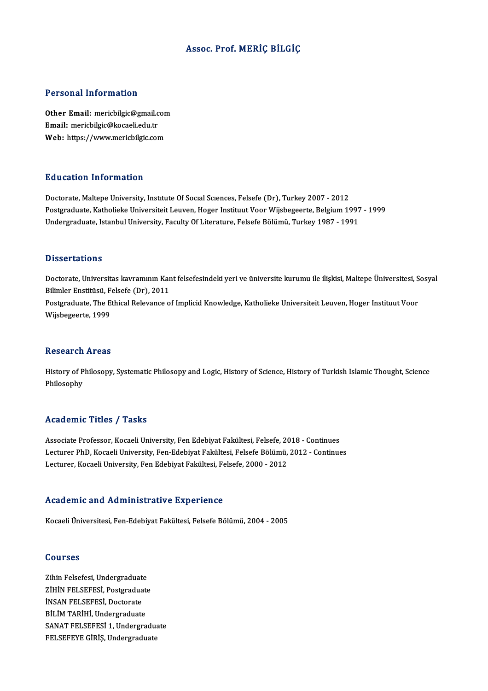### Assoc. Prof.MERİÇ BİLGİÇ

### Personal Information

Personal Information<br>Other Email: mericbilgic@gmail.com<br>Email: mericbilgic@kecaeli.edu.tr Email:mericbilgic@kocaeli.edu.tr Other Email: mericbilgic@gmail.con<br>Email: mericbilgic@kocaeli.edu.tr<br>Web: https://www.mericbilgic.com Web: https://www.mericbilgic.com<br>Education Information

Doctorate, Maltepe University, Institute Of Social Sciences, Felsefe (Dr), Turkey 2007 - 2012 Puususeen IIII of Inderon<br>Doctorate, Maltepe University, Institute Of Social Sciences, Felsefe (Dr), Turkey 2007 - 2012<br>Postgraduate, Katholieke University, Feculty Of Literature, Felsefe Bölümü, Turkey 1997 - 1991<br>Undergr Doctorate, Maltepe University, Institute Of Social Sciences, Felsefe (Dr), Turkey 2007 - 2012<br>Postgraduate, Katholieke Universiteit Leuven, Hoger Instituut Voor Wijsbegeerte, Belgium 1997<br>Undergraduate, Istanbul University Undergraduate, Istanbul University, Faculty Of Literature, Felsefe Bölümü, Turkey 1987 - 1991<br>Dissertations

Dissertations<br>Doctorate, Universitas kavramının Kant felsefesindeki yeri ve üniversite kurumu ile ilişkisi, Maltepe Üniversitesi, Sosyal<br>Bilimlar Enstitüsü, Felsefe (Dr.), 2011 Bilimler Enstitüsü,<br>Bilimler Enstitüsü, Felsefe (Dr), 2011<br>Bestanduste The Ethical Belevinese e Doctorate, Universitas kavramının Kant felsefesindeki yeri ve üniversite kurumu ile ilişkisi, Maltepe Üniversitesi, S<br>Bilimler Enstitüsü, Felsefe (Dr), 2011<br>Postgraduate, The Ethical Relevance of Implicid Knowledge, Kathol Bilimler Enstitüsü, F<br>Postgraduate, The E<br>Wijsbegeerte, 1999 Wijsbegeerte, 1999<br>Research Areas

Research Areas<br>History of Philosopy, Systematic Philosopy and Logic, History of Science, History of Turkish Islamic Thought, Science<br>Philosophy History of P<br>Philosophy Philosophy<br>Academic Titles / Tasks

Academic Titles / Tasks<br>Associate Professor, Kocaeli University, Fen Edebiyat Fakültesi, Felsefe, 2018 - Continues<br>Lesturer PhD, Kosaeli University, Fen Edebiyat Fakültesi, Felsefe Bölümü, 2012, Continue Lecturer PhD, Kocaeli University, Fen-Edebiyat Fakültesi, Felsefe Bölümü, 2012 - Continues<br>Lecturer, Kocaeli University, Fen Edebiyat Fakültesi, Felsefe, 2000 - 2012 Associate Professor, Kocaeli University, Fen Edebiyat Fakültesi, Felsefe, 20<br>Lecturer PhD, Kocaeli University, Fen-Edebiyat Fakültesi, Felsefe Bölümü,<br>Lecturer, Kocaeli University, Fen Edebiyat Fakültesi, Felsefe, 2000 - 2

### Academic and Administrative Experience

Kocaeli Üniversitesi, Fen-Edebiyat Fakültesi, Felsefe Bölümü, 2004 - 2005

### Courses

Courses<br>Zihin Felsefesi, Undergraduate<br>Ziuin FELSEFESi, Bostanaduate ZİHİN FELSEFESİ, Postgraduate<br>İNSAN FELSEFESİ, Doctorate Zihin Felsefesi, Undergraduat<br>ZİHİN FELSEFESİ, Postgradua<br>İNSAN FELSEFESİ, Doctorate<br>PİLİM TADİYL Undergraduate BİLİM TARİHİ, Undergraduate SANAT FELSEFESİ 1, Undergraduate FELSEFEYE GİRİŞ, Undergraduate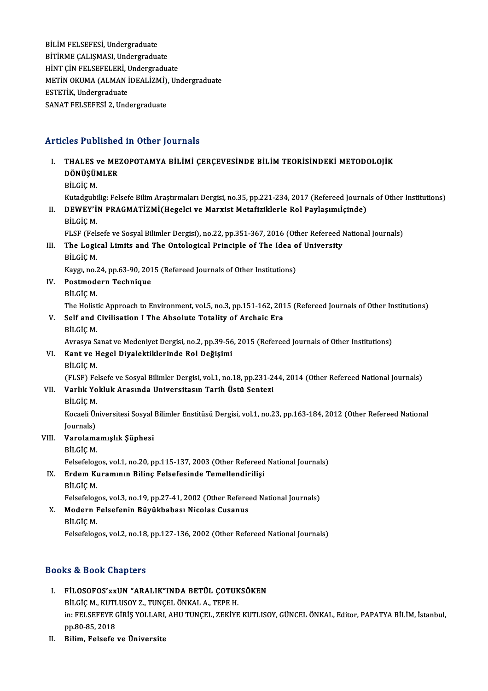BİLİM FELSEFESİ, Undergraduate BİTİRME ÇALIŞMASI, Undergraduate BİLİM FELSEFESİ, Undergraduate<br>BİTİRME ÇALIŞMASI, Undergraduate<br>HİNT ÇİN FELSEFELERİ, Undergraduate<br>METİN OYUMA (ALMAN İDEALİZMİ), Un BİTİRME ÇALIŞMASI, Undergraduate<br>HİNT ÇİN FELSEFELERİ, Undergraduate<br>METİN OKUMA (ALMAN İDEALİZMİ), Undergraduate<br>ESTETİK Undergraduate HİNT ÇİN FELSEFELERİ, UNETİN OKUMA (ALMAN İ<br>ESTETİK, Undergraduate<br>SANAT EEL SEEESİ 2. Und METİN OKUMA (ALMAN İDEALİZMİ),<br>ESTETİK, Undergraduate<br>SANAT FELSEFESİ 2, Undergraduate

# SANAT FELSEFESTZ, Undergraduate<br>Articles Published in Other Journals

| Articles Published in Other Journals |                                                                                                                              |
|--------------------------------------|------------------------------------------------------------------------------------------------------------------------------|
| L.                                   | THALES ve MEZOPOTAMYA BİLİMİ ÇERÇEVESİNDE BİLİM TEORİSİNDEKİ METODOLOJİK<br>DÖNÜŞÜMLER<br>BİLGİÇ M.                          |
|                                      | Kutadgubilig: Felsefe Bilim Araştırmaları Dergisi, no.35, pp.221-234, 2017 (Refereed Journals of Other Institutions)         |
| Н.                                   | DEWEY'IN PRAGMATIZMI(Hegelci ve Marxist Metafiziklerle Rol Paylaşımılçinde)                                                  |
|                                      | BİLGİÇ M.                                                                                                                    |
|                                      | FLSF (Felsefe ve Sosyal Bilimler Dergisi), no.22, pp.351-367, 2016 (Other Refereed National Journals)                        |
| Ш.                                   | The Logical Limits and The Ontological Principle of The Idea of University                                                   |
|                                      | BİLGİÇ M.                                                                                                                    |
|                                      | Kaygı, no.24, pp.63-90, 2015 (Refereed Journals of Other Institutions)                                                       |
| IV.                                  | Postmodern Technique                                                                                                         |
|                                      | BİLGİÇ M.                                                                                                                    |
|                                      | The Holistic Approach to Environment, vol.5, no.3, pp.151-162, 2015 (Refereed Journals of Other Institutions)                |
| V.                                   | Self and Civilisation I The Absolute Totality of Archaic Era                                                                 |
|                                      | BİLGİÇ M.                                                                                                                    |
|                                      | Avrasya Sanat ve Medeniyet Dergisi, no.2, pp.39-56, 2015 (Refereed Journals of Other Institutions)                           |
| VI.                                  | Kant ve Hegel Diyalektiklerinde Rol Değişimi                                                                                 |
|                                      | BİLGİÇ M.                                                                                                                    |
|                                      | (FLSF) Felsefe ve Sosyal Bilimler Dergisi, vol.1, no.18, pp.231-244, 2014 (Other Refereed National Journals)                 |
| VII.                                 | Varlık Yokluk Arasında Universitasın Tarih Üstü Sentezi                                                                      |
|                                      | BİLGİÇ M.                                                                                                                    |
|                                      | Kocaeli Üniversitesi Sosyal Bilimler Enstitüsü Dergisi, vol.1, no.23, pp.163-184, 2012 (Other Refereed National<br>Journals) |
| VIII.                                | Varolamamışlık Şüphesi                                                                                                       |
|                                      | BİLGİÇ M.                                                                                                                    |
|                                      | Felsefelogos, vol.1, no.20, pp.115-137, 2003 (Other Refereed National Journals)                                              |
| IX.                                  | Erdem Kuramının Bilinç Felsefesinde Temellendirilişi                                                                         |
|                                      | BİLGİÇ M.                                                                                                                    |
|                                      | Felsefelogos, vol.3, no.19, pp.27-41, 2002 (Other Refereed National Journals)                                                |
| X.                                   | Modern Felsefenin Büyükbabası Nicolas Cusanus                                                                                |
|                                      | BİLGİÇ M.                                                                                                                    |
|                                      | Felsefelogos, vol.2, no.18, pp.127-136, 2002 (Other Refereed National Journals)                                              |
|                                      |                                                                                                                              |

## Books&Book Chapters

- ooks & Book Chapters<br>I. FİLOSOFOS'xxUN "ARALIK"INDA BETÜL ÇOTUKSÖKEN<br>PİLCİC M. KUTUKOV 7. TUNCEL ÖNKAL A. TERE H BILGİÇM., SARALIK"INDA BETÜL ÇOTUK<br>BİLGİÇM., KUTLUSOY Z., TUNÇEL ÖNKAL A., TEPE H.<br>İDI EEL SEEEVE ÇİDİŞ YOLLAPLAHI TUNGEL ZEKİVE FİLOSOFOS'xxUN "ARALIK"INDA BETÜL ÇOTUKSÖKEN<br>BİLGİÇ M., KUTLUSOY Z., TUNÇEL ÖNKAL A., TEPE H.<br>in: FELSEFEYE GİRİŞ YOLLARI, AHU TUNÇEL, ZEKİYE KUTLISOY, GÜNCEL ÖNKAL, Editor, PAPATYA BİLİM, İstanbul,<br>pp 80,85, 2018 BİLGİÇ M., KUTI<br>in: FELSEFEYE (<br>pp.80-85, 2018<br>Pilim, Felsefe pp.80-85, 2018<br>II. Bilim, Felsefe ve Üniversite
-